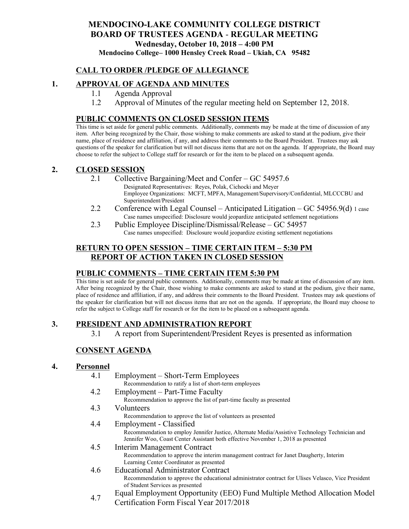# **MENDOCINO-LAKE COMMUNITY COLLEGE DISTRICT BOARD OF TRUSTEES AGENDA** - **REGULAR MEETING Wednesday, October 10, 2018 – 4:00 PM**

# **Mendocino College– 1000 Hensley Creek Road – Ukiah, CA 95482**

## **CALL TO ORDER /PLEDGE OF ALLEGIANCE**

## **1. APPROVAL OF AGENDA AND MINUTES**

- 1.1 Agenda Approval
- 1.2 Approval of Minutes of the regular meeting held on September 12, 2018.

#### **PUBLIC COMMENTS ON CLOSED SESSION ITEMS**

This time is set aside for general public comments. Additionally, comments may be made at the time of discussion of any item. After being recognized by the Chair, those wishing to make comments are asked to stand at the podium, give their name, place of residence and affiliation, if any, and address their comments to the Board President. Trustees may ask questions of the speaker for clarification but will not discuss items that are not on the agenda. If appropriate, the Board may choose to refer the subject to College staff for research or for the item to be placed on a subsequent agenda.

#### **2. CLOSED SESSION**

- 2.1 Collective Bargaining/Meet and Confer GC 54957.6
	- Designated Representatives: Reyes, Polak, Cichocki and Meyer Employee Organizations: MCFT, MPFA, Management/Supervisory/Confidential, MLCCCBU and Superintendent/President
- 2.2 Conference with Legal Counsel Anticipated Litigation GC 54956.9(d) 1 case Case names unspecified: Disclosure would jeopardize anticipated settlement negotiations
- 2.3 Public Employee Discipline/Dismissal/Release GC 54957 Case names unspecified: Disclosure would jeopardize existing settlement negotiations

## **RETURN TO OPEN SESSION – TIME CERTAIN ITEM – 5:30 PM REPORT OF ACTION TAKEN IN CLOSED SESSION**

## **PUBLIC COMMENTS – TIME CERTAIN ITEM 5:30 PM**

This time is set aside for general public comments. Additionally, comments may be made at time of discussion of any item. After being recognized by the Chair, those wishing to make comments are asked to stand at the podium, give their name, place of residence and affiliation, if any, and address their comments to the Board President. Trustees may ask questions of the speaker for clarification but will not discuss items that are not on the agenda. If appropriate, the Board may choose to refer the subject to College staff for research or for the item to be placed on a subsequent agenda.

## **3. PRESIDENT AND ADMINISTRATION REPORT**

3.1 A report from Superintendent/President Reyes is presented as information

## **CONSENT AGENDA**

#### **4. Personnel**

- 4.1 Employment Short-Term Employees
	- Recommendation to ratify a list of short-term employees
- 4.2 Employment Part-Time Faculty

Recommendation to approve the list of part-time faculty as presented

#### 4.3 Volunteers

Recommendation to approve the list of volunteers as presented

4.4 Employment - Classified

Recommendation to employ Jennifer Justice, Alternate Media/Assistive Technology Technician and Jennifer Woo, Coast Center Assistant both effective November 1, 2018 as presented

- 4.5 Interim Management Contract Recommendation to approve the interim management contract for Janet Daugherty, Interim Learning Center Coordinator as presented
- 4.6 Educational Administrator Contract Recommendation to approve the educational administrator contract for Ulises Velasco, Vice President of Student Services as presented
- 4.7 Equal Employment Opportunity (EEO) Fund Multiple Method Allocation Model
	- Certification Form Fiscal Year 2017/2018